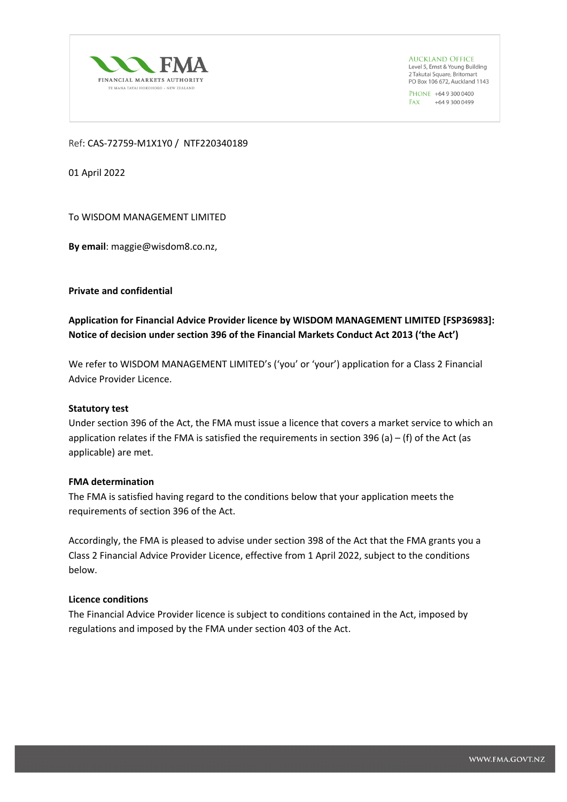

**AUCKLAND OFFICE** Level 5, Ernst & Young Building 2 Takutai Square, Britomart PO Box 106 672, Auckland 1143

PHONE +64 9 300 0400 FAX +64 9 300 0499

## Ref: CAS-72759-M1X1Y0 / NTF220340189

01 April 2022

To WISDOM MANAGEMENT LIMITED

**By email**: maggie@wisdom8.co.nz,

**Private and confidential**

**Application for Financial Advice Provider licence by WISDOM MANAGEMENT LIMITED [FSP36983]: Notice of decision under section 396 of the Financial Markets Conduct Act 2013 ('the Act')**

We refer to WISDOM MANAGEMENT LIMITED's ('you' or 'your') application for a Class 2 Financial Advice Provider Licence.

### **Statutory test**

Under section 396 of the Act, the FMA must issue a licence that covers a market service to which an application relates if the FMA is satisfied the requirements in section 396 (a)  $-$  (f) of the Act (as applicable) are met.

### **FMA determination**

The FMA is satisfied having regard to the conditions below that your application meets the requirements of section 396 of the Act.

Accordingly, the FMA is pleased to advise under section 398 of the Act that the FMA grants you a Class 2 Financial Advice Provider Licence, effective from 1 April 2022, subject to the conditions below.

# **Licence conditions**

The Financial Advice Provider licence is subject to conditions contained in the Act, imposed by regulations and imposed by the FMA under section 403 of the Act.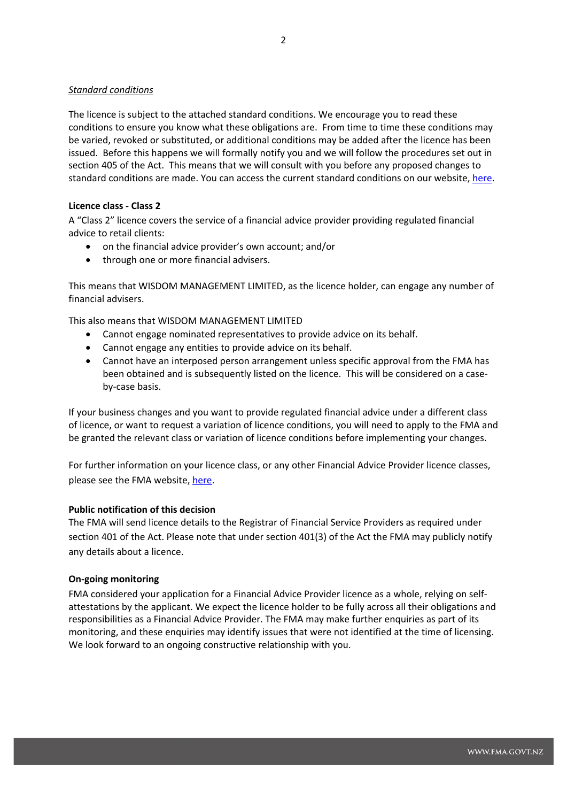## *Standard conditions*

The licence is subject to the attached standard conditions. We encourage you to read these conditions to ensure you know what these obligations are. From time to time these conditions may be varied, revoked or substituted, or additional conditions may be added after the licence has been issued. Before this happens we will formally notify you and we will follow the procedures set out in section 405 of the Act. This means that we will consult with you before any proposed changes to standard conditions are made. You can access the current standard conditions on our website, [here.](https://www.fma.govt.nz/assets/Consultations/Standard-Conditions-for-full-FAP-licences.pdf)

### **Licence class - Class 2**

A "Class 2" licence covers the service of a financial advice provider providing regulated financial advice to retail clients:

- on the financial advice provider's own account; and/or
- through one or more financial advisers.

This means that WISDOM MANAGEMENT LIMITED, as the licence holder, can engage any number of financial advisers.

This also means that WISDOM MANAGEMENT LIMITED

- Cannot engage nominated representatives to provide advice on its behalf.
- Cannot engage any entities to provide advice on its behalf.
- Cannot have an interposed person arrangement unless specific approval from the FMA has been obtained and is subsequently listed on the licence. This will be considered on a caseby-case basis.

If your business changes and you want to provide regulated financial advice under a different class of licence, or want to request a variation of licence conditions, you will need to apply to the FMA and be granted the relevant class or variation of licence conditions before implementing your changes.

For further information on your licence class, or any other Financial Advice Provider licence classes, please see the FMA website, [here.](https://www.fma.govt.nz/assets/Consultations/Classes-of-financial-advice-service-for-full-FAP-licences.pdf)

### **Public notification of this decision**

The FMA will send licence details to the Registrar of Financial Service Providers as required under section 401 of the Act. Please note that under section 401(3) of the Act the FMA may publicly notify any details about a licence.

### **On-going monitoring**

FMA considered your application for a Financial Advice Provider licence as a whole, relying on selfattestations by the applicant. We expect the licence holder to be fully across all their obligations and responsibilities as a Financial Advice Provider. The FMA may make further enquiries as part of its monitoring, and these enquiries may identify issues that were not identified at the time of licensing. We look forward to an ongoing constructive relationship with you.